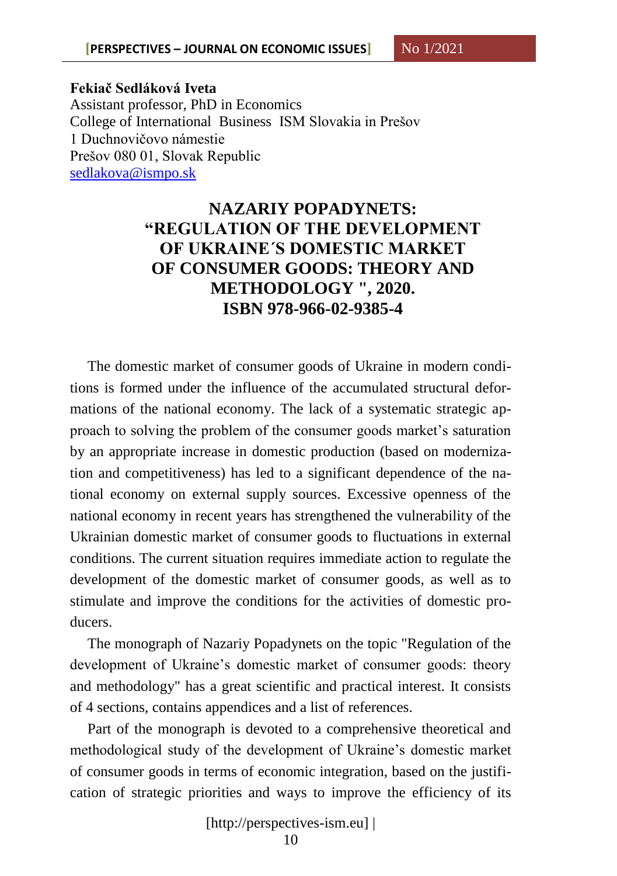**Fekiač Sedláková Iveta** Assistant professor, PhD in Economics College of International Business ISM Slovakia in Prešov 1 Duchnovičovo námestie Prešov 080 01, Slovak Republic [sedlakova@ismpo.sk](mailto:sedlakova@ismpo.sk)

## **NAZARIY POPADYNETS: "REGULATION OF THE DEVELOPMENT OF UKRAINE´S DOMESTIC MARKET OF CONSUMER GOODS: THEORY AND METHODOLOGY ", 2020. ISBN 978-966-02-9385-4**

The domestic market of consumer goods of Ukraine in modern conditions is formed under the influence of the accumulated structural deformations of the national economy. The lack of a systematic strategic approach to solving the problem of the consumer goods market's saturation by an appropriate increase in domestic production (based on modernization and competitiveness) has led to a significant dependence of the national economy on external supply sources. Excessive openness of the national economy in recent years has strengthened the vulnerability of the Ukrainian domestic market of consumer goods to fluctuations in external conditions. The current situation requires immediate action to regulate the development of the domestic market of consumer goods, as well as to stimulate and improve the conditions for the activities of domestic producers.

The monograph of Nazariy Popadynets on the topic "Regulation of the development of Ukraine's domestic market of consumer goods: theory and methodology" has a great scientific and practical interest. It consists of 4 sections, contains appendices and a list of references.

Part of the monograph is devoted to a comprehensive theoretical and methodological study of the development of Ukraine's domestic market of consumer goods in terms of economic integration, based on the justification of strategic priorities and ways to improve the efficiency of its

[http://perspectives-ism.eu] |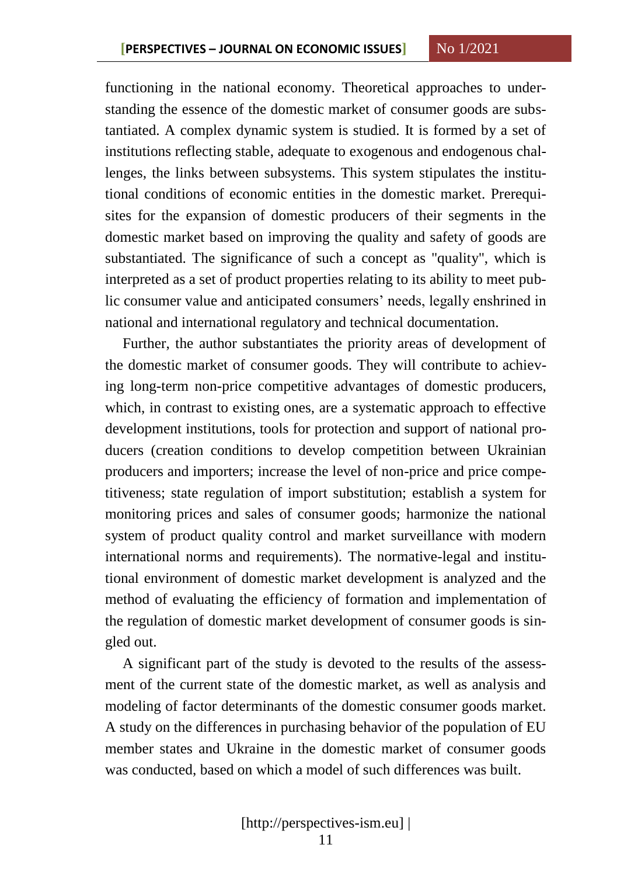functioning in the national economy. Theoretical approaches to understanding the essence of the domestic market of consumer goods are substantiated. A complex dynamic system is studied. It is formed by a set of institutions reflecting stable, adequate to exogenous and endogenous challenges, the links between subsystems. This system stipulates the institutional conditions of economic entities in the domestic market. Prerequisites for the expansion of domestic producers of their segments in the domestic market based on improving the quality and safety of goods are substantiated. The significance of such a concept as "quality", which is interpreted as a set of product properties relating to its ability to meet public consumer value and anticipated consumers' needs, legally enshrined in national and international regulatory and technical documentation.

Further, the author substantiates the priority areas of development of the domestic market of consumer goods. They will contribute to achieving long-term non-price competitive advantages of domestic producers, which, in contrast to existing ones, are a systematic approach to effective development institutions, tools for protection and support of national producers (creation conditions to develop competition between Ukrainian producers and importers; increase the level of non-price and price competitiveness; state regulation of import substitution; establish a system for monitoring prices and sales of consumer goods; harmonize the national system of product quality control and market surveillance with modern international norms and requirements). The normative-legal and institutional environment of domestic market development is analyzed and the method of evaluating the efficiency of formation and implementation of the regulation of domestic market development of consumer goods is singled out.

A significant part of the study is devoted to the results of the assessment of the current state of the domestic market, as well as analysis and modeling of factor determinants of the domestic consumer goods market. A study on the differences in purchasing behavior of the population of EU member states and Ukraine in the domestic market of consumer goods was conducted, based on which a model of such differences was built.

> [http://perspectives-ism.eu] | 11